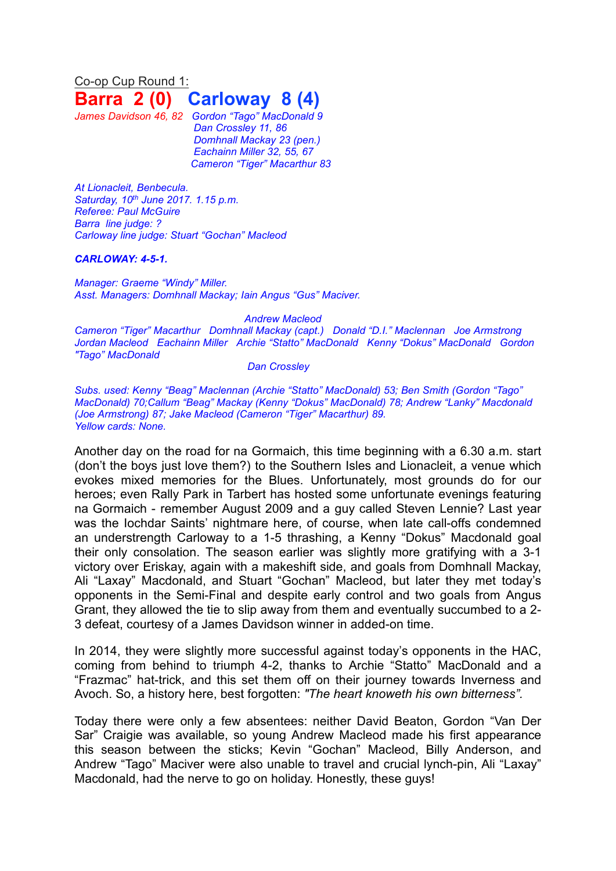Co-op Cup Round 1: **Barra 2 (0) Carloway 8 (4)**

*James Davidson 46, 82 Gordon "Tago" MacDonald 9 Dan Crossley 11, 86 Domhnall Mackay 23 (pen.) Eachainn Miller 32, 55, 67 Cameron "Tiger" Macarthur 83*

*At Lionacleit, Benbecula. Saturday, 10 th June 2017. 1.15 p.m. Referee: Paul McGuire Barra line judge: ? Carloway line judge: Stuart "Gochan" Macleod*

## *CARLOWAY: 4-5-1.*

*Manager: Graeme "Windy" Miller. Asst. Managers: Domhnall Mackay; Iain Angus "Gus" Maciver.*

## *Andrew Macleod*

*Cameron "Tiger" Macarthur Domhnall Mackay (capt.) Donald "D.I." Maclennan Joe Armstrong Jordan Macleod Eachainn Miller Archie "Statto" MacDonald Kenny "Dokus" MacDonald Gordon "Tago" MacDonald*

## *Dan Crossley*

*Subs. used: Kenny "Beag" Maclennan (Archie "Statto" MacDonald) 53; Ben Smith (Gordon "Tago" MacDonald) 70;Callum "Beag" Mackay (Kenny "Dokus" MacDonald) 78; Andrew "Lanky" Macdonald (Joe Armstrong) 87; Jake Macleod (Cameron "Tiger" Macarthur) 89. Yellow cards: None.*

Another day on the road for na Gormaich, this time beginning with a 6.30 a.m. start (don't the boys just love them?) to the Southern Isles and Lionacleit, a venue which evokes mixed memories for the Blues. Unfortunately, most grounds do for our heroes; even Rally Park in Tarbert has hosted some unfortunate evenings featuring na Gormaich - remember August 2009 and a guy called Steven Lennie? Last year was the Iochdar Saints' nightmare here, of course, when late call-offs condemned an understrength Carloway to a 1-5 thrashing, a Kenny "Dokus" Macdonald goal their only consolation. The season earlier was slightly more gratifying with a 3-1 victory over Eriskay, again with a makeshift side, and goals from Domhnall Mackay, Ali "Laxay" Macdonald, and Stuart "Gochan" Macleod, but later they met today's opponents in the Semi-Final and despite early control and two goals from Angus Grant, they allowed the tie to slip away from them and eventually succumbed to a 2- 3 defeat, courtesy of a James Davidson winner in added-on time.

In 2014, they were slightly more successful against today's opponents in the HAC, coming from behind to triumph 4-2, thanks to Archie "Statto" MacDonald and a "Frazmac" hat-trick, and this set them off on their journey towards Inverness and Avoch. So, a history here, best forgotten: *"The heart knoweth his own bitterness".*

Today there were only a few absentees: neither David Beaton, Gordon "Van Der Sar" Craigie was available, so young Andrew Macleod made his first appearance this season between the sticks; Kevin "Gochan" Macleod, Billy Anderson, and Andrew "Tago" Maciver were also unable to travel and crucial lynch-pin, Ali "Laxay" Macdonald, had the nerve to go on holiday. Honestly, these guys!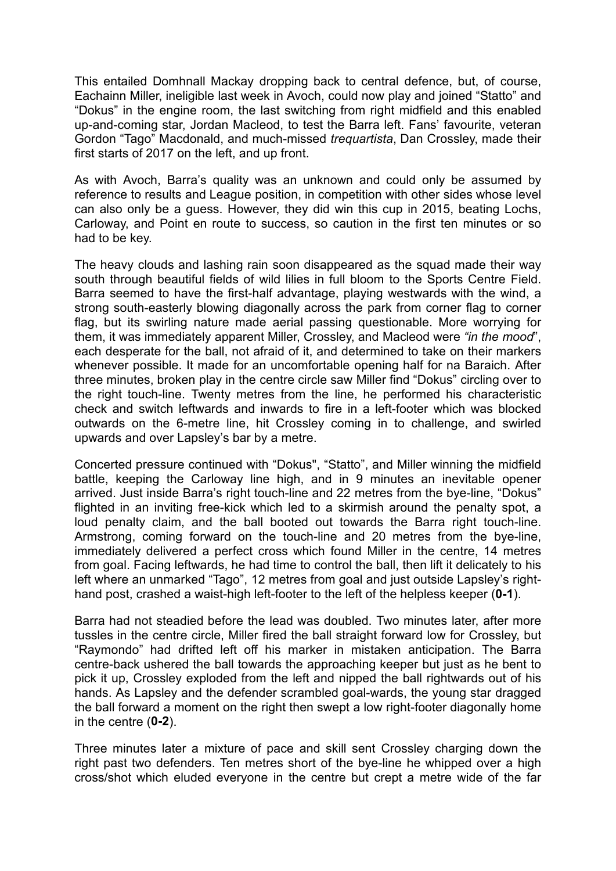This entailed Domhnall Mackay dropping back to central defence, but, of course, Eachainn Miller, ineligible last week in Avoch, could now play and joined "Statto" and "Dokus" in the engine room, the last switching from right midfield and this enabled up-and-coming star, Jordan Macleod, to test the Barra left. Fans' favourite, veteran Gordon "Tago" Macdonald, and much-missed *trequartista*, Dan Crossley, made their first starts of 2017 on the left, and up front.

As with Avoch, Barra's quality was an unknown and could only be assumed by reference to results and League position, in competition with other sides whose level can also only be a guess. However, they did win this cup in 2015, beating Lochs, Carloway, and Point en route to success, so caution in the first ten minutes or so had to be key.

The heavy clouds and lashing rain soon disappeared as the squad made their way south through beautiful fields of wild lilies in full bloom to the Sports Centre Field. Barra seemed to have the first-half advantage, playing westwards with the wind, a strong south-easterly blowing diagonally across the park from corner flag to corner flag, but its swirling nature made aerial passing questionable. More worrying for them, it was immediately apparent Miller, Crossley, and Macleod were *"in the mood*", each desperate for the ball, not afraid of it, and determined to take on their markers whenever possible. It made for an uncomfortable opening half for na Baraich. After three minutes, broken play in the centre circle saw Miller find "Dokus" circling over to the right touch-line. Twenty metres from the line, he performed his characteristic check and switch leftwards and inwards to fire in a left-footer which was blocked outwards on the 6-metre line, hit Crossley coming in to challenge, and swirled upwards and over Lapsley's bar by a metre.

Concerted pressure continued with "Dokus", "Statto", and Miller winning the midfield battle, keeping the Carloway line high, and in 9 minutes an inevitable opener arrived. Just inside Barra's right touch-line and 22 metres from the bye-line, "Dokus" flighted in an inviting free-kick which led to a skirmish around the penalty spot, a loud penalty claim, and the ball booted out towards the Barra right touch-line. Armstrong, coming forward on the touch-line and 20 metres from the bye-line, immediately delivered a perfect cross which found Miller in the centre, 14 metres from goal. Facing leftwards, he had time to control the ball, then lift it delicately to his left where an unmarked "Tago", 12 metres from goal and just outside Lapsley's righthand post, crashed a waist-high left-footer to the left of the helpless keeper (**0-1**).

Barra had not steadied before the lead was doubled. Two minutes later, after more tussles in the centre circle, Miller fired the ball straight forward low for Crossley, but "Raymondo" had drifted left off his marker in mistaken anticipation. The Barra centre-back ushered the ball towards the approaching keeper but just as he bent to pick it up, Crossley exploded from the left and nipped the ball rightwards out of his hands. As Lapsley and the defender scrambled goal-wards, the young star dragged the ball forward a moment on the right then swept a low right-footer diagonally home in the centre (**0-2**).

Three minutes later a mixture of pace and skill sent Crossley charging down the right past two defenders. Ten metres short of the bye-line he whipped over a high cross/shot which eluded everyone in the centre but crept a metre wide of the far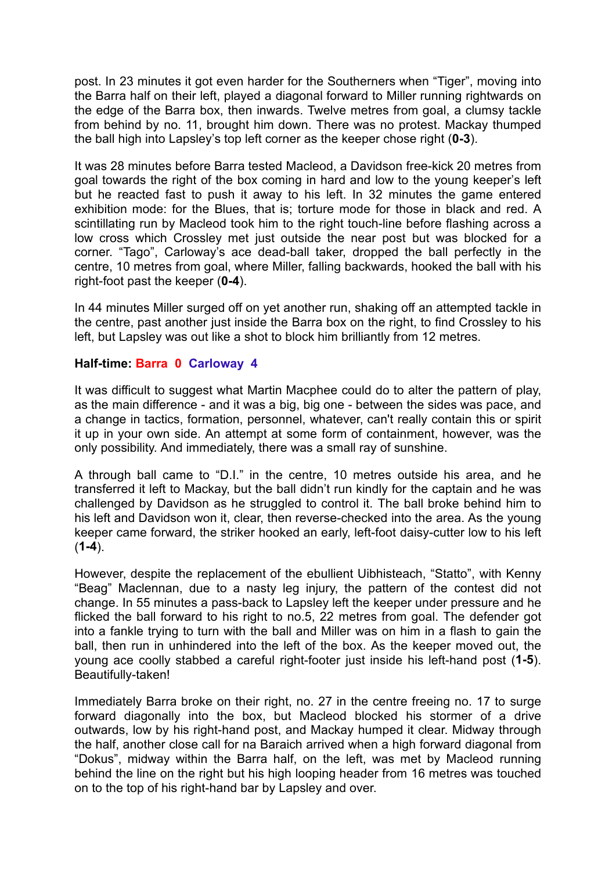post. In 23 minutes it got even harder for the Southerners when "Tiger", moving into the Barra half on their left, played a diagonal forward to Miller running rightwards on the edge of the Barra box, then inwards. Twelve metres from goal, a clumsy tackle from behind by no. 11, brought him down. There was no protest. Mackay thumped the ball high into Lapsley's top left corner as the keeper chose right (**0-3**).

It was 28 minutes before Barra tested Macleod, a Davidson free-kick 20 metres from goal towards the right of the box coming in hard and low to the young keeper's left but he reacted fast to push it away to his left. In 32 minutes the game entered exhibition mode: for the Blues, that is; torture mode for those in black and red. A scintillating run by Macleod took him to the right touch-line before flashing across a low cross which Crossley met just outside the near post but was blocked for a corner. "Tago", Carloway's ace dead-ball taker, dropped the ball perfectly in the centre, 10 metres from goal, where Miller, falling backwards, hooked the ball with his right-foot past the keeper (**0-4**).

In 44 minutes Miller surged off on yet another run, shaking off an attempted tackle in the centre, past another just inside the Barra box on the right, to find Crossley to his left, but Lapsley was out like a shot to block him brilliantly from 12 metres.

# **Half-time: Barra 0 Carloway 4**

It was difficult to suggest what Martin Macphee could do to alter the pattern of play, as the main difference - and it was a big, big one - between the sides was pace, and a change in tactics, formation, personnel, whatever, can't really contain this or spirit it up in your own side. An attempt at some form of containment, however, was the only possibility. And immediately, there was a small ray of sunshine.

A through ball came to "D.I." in the centre, 10 metres outside his area, and he transferred it left to Mackay, but the ball didn't run kindly for the captain and he was challenged by Davidson as he struggled to control it. The ball broke behind him to his left and Davidson won it, clear, then reverse-checked into the area. As the young keeper came forward, the striker hooked an early, left-foot daisy-cutter low to his left (**1-4**).

However, despite the replacement of the ebullient Uibhisteach, "Statto", with Kenny "Beag" Maclennan, due to a nasty leg injury, the pattern of the contest did not change. In 55 minutes a pass-back to Lapsley left the keeper under pressure and he flicked the ball forward to his right to no.5, 22 metres from goal. The defender got into a fankle trying to turn with the ball and Miller was on him in a flash to gain the ball, then run in unhindered into the left of the box. As the keeper moved out, the young ace coolly stabbed a careful right-footer just inside his left-hand post (**1-5**). Beautifully-taken!

Immediately Barra broke on their right, no. 27 in the centre freeing no. 17 to surge forward diagonally into the box, but Macleod blocked his stormer of a drive outwards, low by his right-hand post, and Mackay humped it clear. Midway through the half, another close call for na Baraich arrived when a high forward diagonal from "Dokus", midway within the Barra half, on the left, was met by Macleod running behind the line on the right but his high looping header from 16 metres was touched on to the top of his right-hand bar by Lapsley and over.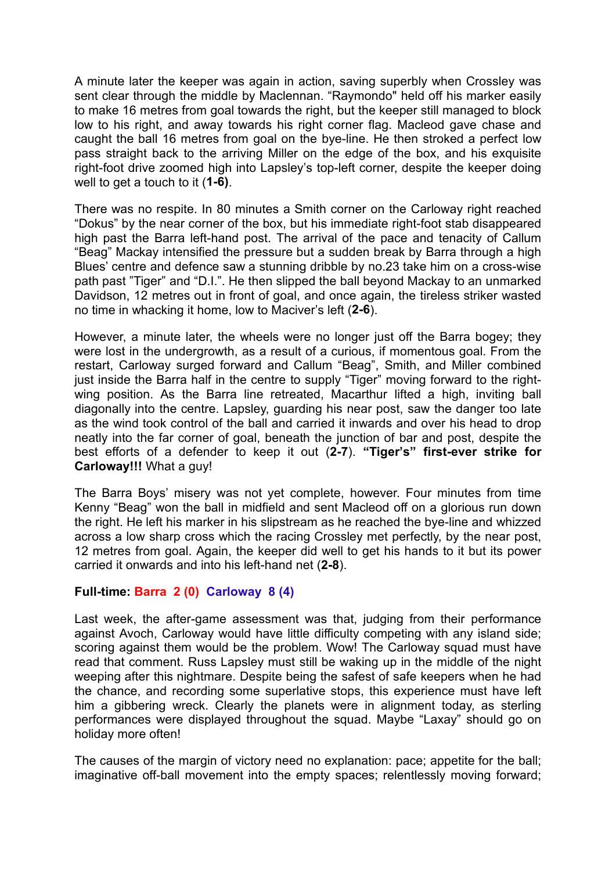A minute later the keeper was again in action, saving superbly when Crossley was sent clear through the middle by Maclennan. "Raymondo" held off his marker easily to make 16 metres from goal towards the right, but the keeper still managed to block low to his right, and away towards his right corner flag. Macleod gave chase and caught the ball 16 metres from goal on the bye-line. He then stroked a perfect low pass straight back to the arriving Miller on the edge of the box, and his exquisite right-foot drive zoomed high into Lapsley's top-left corner, despite the keeper doing well to get a touch to it (**1-6)**.

There was no respite. In 80 minutes a Smith corner on the Carloway right reached "Dokus" by the near corner of the box, but his immediate right-foot stab disappeared high past the Barra left-hand post. The arrival of the pace and tenacity of Callum "Beag" Mackay intensified the pressure but a sudden break by Barra through a high Blues' centre and defence saw a stunning dribble by no.23 take him on a cross-wise path past "Tiger" and "D.I.". He then slipped the ball beyond Mackay to an unmarked Davidson, 12 metres out in front of goal, and once again, the tireless striker wasted no time in whacking it home, low to Maciver's left (**2-6**).

However, a minute later, the wheels were no longer just off the Barra bogey; they were lost in the undergrowth, as a result of a curious, if momentous goal. From the restart, Carloway surged forward and Callum "Beag", Smith, and Miller combined just inside the Barra half in the centre to supply "Tiger" moving forward to the rightwing position. As the Barra line retreated, Macarthur lifted a high, inviting ball diagonally into the centre. Lapsley, guarding his near post, saw the danger too late as the wind took control of the ball and carried it inwards and over his head to drop neatly into the far corner of goal, beneath the junction of bar and post, despite the best efforts of a defender to keep it out (**2-7**). **"Tiger's" first-ever strike for Carloway!!!** What a guy!

The Barra Boys' misery was not yet complete, however. Four minutes from time Kenny "Beag" won the ball in midfield and sent Macleod off on a glorious run down the right. He left his marker in his slipstream as he reached the bye-line and whizzed across a low sharp cross which the racing Crossley met perfectly, by the near post, 12 metres from goal. Again, the keeper did well to get his hands to it but its power carried it onwards and into his left-hand net (**2-8**).

# **Full-time: Barra 2 (0) Carloway 8 (4)**

Last week, the after-game assessment was that, judging from their performance against Avoch, Carloway would have little difficulty competing with any island side; scoring against them would be the problem. Wow! The Carloway squad must have read that comment. Russ Lapsley must still be waking up in the middle of the night weeping after this nightmare. Despite being the safest of safe keepers when he had the chance, and recording some superlative stops, this experience must have left him a gibbering wreck. Clearly the planets were in alignment today, as sterling performances were displayed throughout the squad. Maybe "Laxay" should go on holiday more often!

The causes of the margin of victory need no explanation: pace; appetite for the ball; imaginative off-ball movement into the empty spaces; relentlessly moving forward;